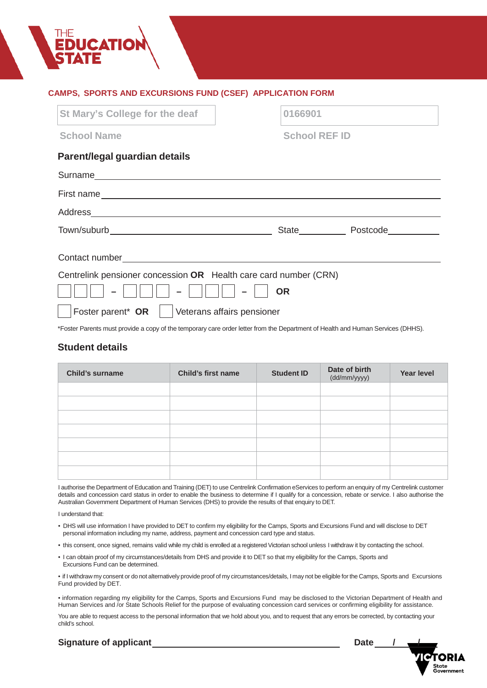# **CAMPS, SPORTS AND EXCURSIONS FUND (CSEF) APPLICATION FORM**

| St Mary's College for the deaf                                                | 0166901                    |  |  |  |  |
|-------------------------------------------------------------------------------|----------------------------|--|--|--|--|
| <b>School Name</b>                                                            | <b>School REF ID</b>       |  |  |  |  |
| Parent/legal guardian details                                                 |                            |  |  |  |  |
|                                                                               |                            |  |  |  |  |
|                                                                               |                            |  |  |  |  |
|                                                                               |                            |  |  |  |  |
|                                                                               | State Postcode Postcode    |  |  |  |  |
| Centrelink pensioner concession OR Health care card number (CRN)<br><b>OR</b> |                            |  |  |  |  |
| Foster parent* OR                                                             | Veterans affairs pensioner |  |  |  |  |

\*Foster Parents must provide a copy of the temporary care order letter from the Department of Health and Human Services (DHHS).

# **Student details**

| <b>Child's surname</b> | <b>Child's first name</b> | <b>Student ID</b> | Date of birth<br>(dd/mm/yyyy) | <b>Year level</b> |
|------------------------|---------------------------|-------------------|-------------------------------|-------------------|
|                        |                           |                   |                               |                   |
|                        |                           |                   |                               |                   |
|                        |                           |                   |                               |                   |
|                        |                           |                   |                               |                   |
|                        |                           |                   |                               |                   |
|                        |                           |                   |                               |                   |
|                        |                           |                   |                               |                   |

I authorise the Department of Education and Training (DET) to use Centrelink Confirmation eServices to perform an enquiry of my Centrelink customer details and concession card status in order to enable the business to determine if I qualify for a concession, rebate or service. I also authorise the Australian Government Department of Human Services (DHS) to provide the results of that enquiry to DET.

I understand that:

- DHS will use information I have provided to DET to confirm my eligibility for the Camps, Sports and Excursions Fund and will disclose to DET personal information including my name, address, payment and concession card type and status.
- this consent, once signed, remains valid while my child is enrolled at a registered Victorian school unless I withdraw it by contacting the school.
- I can obtain proof of my circumstances/details from DHS and provide it to DET so that my eligibility for the Camps, Sports and Excursions Fund can be determined.

• if I withdraw my consent or do not alternatively provide proof of my circumstances/details, I may not be eligible for the Camps, Sports and Excursions Fund provided by DET.

• information regarding my eligibility for the Camps, Sports and Excursions Fund may be disclosed to the Victorian Department of Health and Human Services and /or State Schools Relief for the purpose of evaluating concession card services or confirming eligibility for assistance.

You are able to request access to the personal information that we hold about you, and to request that any errors be corrected, by contacting your child's school.

| <b>Signature of applicant</b> | Date |  |
|-------------------------------|------|--|
|                               |      |  |